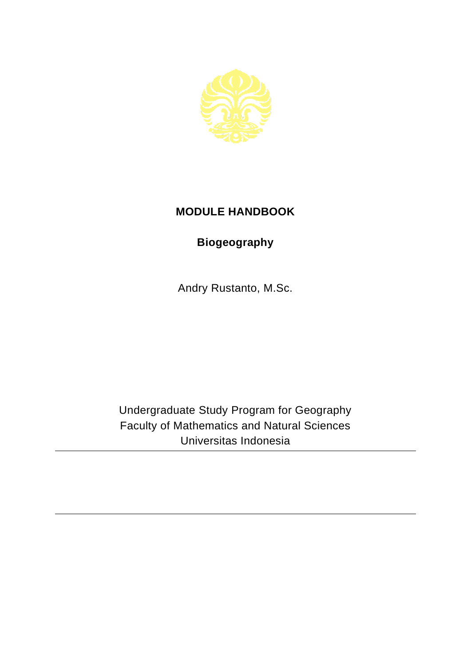

## **MODULE HANDBOOK**

## **Biogeography**

Andry Rustanto, M.Sc.

Undergraduate Study Program for Geography Faculty of Mathematics and Natural Sciences Universitas Indonesia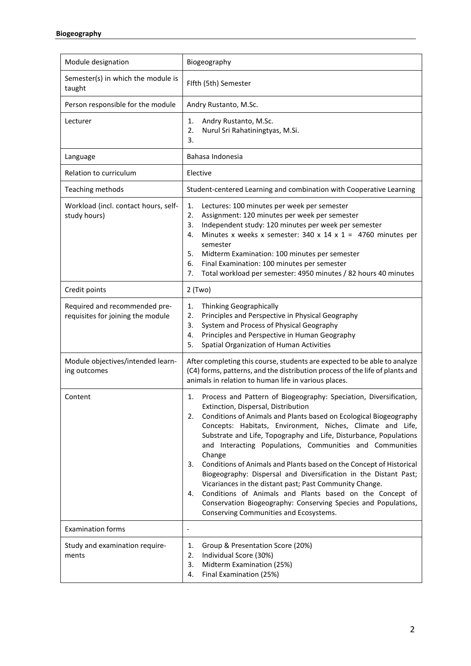| Module designation                                                 | Biogeography                                                                                                                                                                                                                                                                                                                                                                                                                                                                                                                                                                                                                                                                                                                                                                                 |
|--------------------------------------------------------------------|----------------------------------------------------------------------------------------------------------------------------------------------------------------------------------------------------------------------------------------------------------------------------------------------------------------------------------------------------------------------------------------------------------------------------------------------------------------------------------------------------------------------------------------------------------------------------------------------------------------------------------------------------------------------------------------------------------------------------------------------------------------------------------------------|
| Semester(s) in which the module is<br>taught                       | Fifth (5th) Semester                                                                                                                                                                                                                                                                                                                                                                                                                                                                                                                                                                                                                                                                                                                                                                         |
| Person responsible for the module                                  | Andry Rustanto, M.Sc.                                                                                                                                                                                                                                                                                                                                                                                                                                                                                                                                                                                                                                                                                                                                                                        |
| Lecturer                                                           | Andry Rustanto, M.Sc.<br>1.<br>Nurul Sri Rahatiningtyas, M.Si.<br>2.<br>3.                                                                                                                                                                                                                                                                                                                                                                                                                                                                                                                                                                                                                                                                                                                   |
| Language                                                           | Bahasa Indonesia                                                                                                                                                                                                                                                                                                                                                                                                                                                                                                                                                                                                                                                                                                                                                                             |
| Relation to curriculum                                             | Elective                                                                                                                                                                                                                                                                                                                                                                                                                                                                                                                                                                                                                                                                                                                                                                                     |
| Teaching methods                                                   | Student-centered Learning and combination with Cooperative Learning                                                                                                                                                                                                                                                                                                                                                                                                                                                                                                                                                                                                                                                                                                                          |
| Workload (incl. contact hours, self-<br>study hours)               | 1.<br>Lectures: 100 minutes per week per semester<br>Assignment: 120 minutes per week per semester<br>2.<br>Independent study: 120 minutes per week per semester<br>3.<br>Minutes x weeks x semester: 340 x 14 x 1 = 4760 minutes per<br>4.<br>semester<br>5.<br>Midterm Examination: 100 minutes per semester<br>6.<br>Final Examination: 100 minutes per semester<br>7.<br>Total workload per semester: 4950 minutes / 82 hours 40 minutes                                                                                                                                                                                                                                                                                                                                                 |
| Credit points                                                      | 2 (Two)                                                                                                                                                                                                                                                                                                                                                                                                                                                                                                                                                                                                                                                                                                                                                                                      |
| Required and recommended pre-<br>requisites for joining the module | Thinking Geographically<br>1.<br>Principles and Perspective in Physical Geography<br>2.<br>System and Process of Physical Geography<br>3.<br>Principles and Perspective in Human Geography<br>4.<br>Spatial Organization of Human Activities<br>5.                                                                                                                                                                                                                                                                                                                                                                                                                                                                                                                                           |
| Module objectives/intended learn-<br>ing outcomes                  | After completing this course, students are expected to be able to analyze<br>(C4) forms, patterns, and the distribution process of the life of plants and<br>animals in relation to human life in various places.                                                                                                                                                                                                                                                                                                                                                                                                                                                                                                                                                                            |
| Content                                                            | Process and Pattern of Biogeography: Speciation, Diversification,<br>1.<br>Extinction, Dispersal, Distribution<br>Conditions of Animals and Plants based on Ecological Biogeography<br>2.<br>Concepts: Habitats, Environment, Niches, Climate and Life,<br>Substrate and Life, Topography and Life, Disturbance, Populations<br>and Interacting Populations, Communities and Communities<br>Change<br>Conditions of Animals and Plants based on the Concept of Historical<br>3.<br>Biogeography: Dispersal and Diversification in the Distant Past;<br>Vicariances in the distant past; Past Community Change.<br>Conditions of Animals and Plants based on the Concept of<br>4.<br>Conservation Biogeography: Conserving Species and Populations,<br>Conserving Communities and Ecosystems. |
| <b>Examination forms</b>                                           | $\overline{a}$                                                                                                                                                                                                                                                                                                                                                                                                                                                                                                                                                                                                                                                                                                                                                                               |
| Study and examination require-<br>ments                            | Group & Presentation Score (20%)<br>1.<br>Individual Score (30%)<br>2.<br>3.<br>Midterm Examination (25%)<br>Final Examination (25%)<br>4.                                                                                                                                                                                                                                                                                                                                                                                                                                                                                                                                                                                                                                                   |